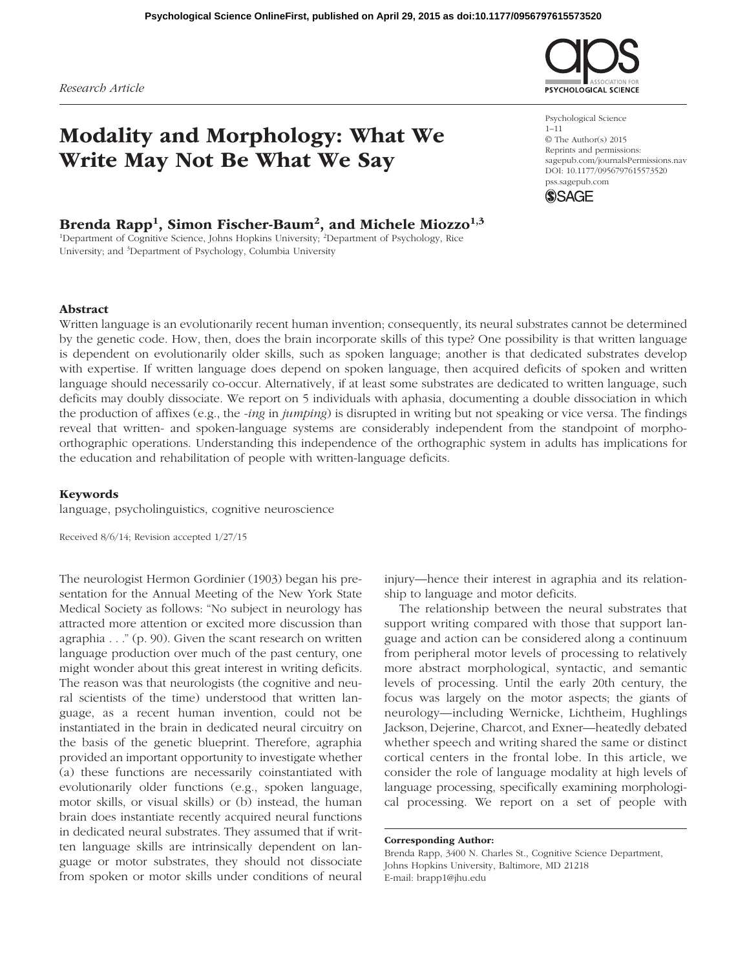*Research Article*

## Modality and Morphology: What We Write May Not Be What We Say

# Brenda Rapp<sup>1</sup>, Simon Fischer-Baum<sup>2</sup>, and Michele Miozzo<sup>1,3</sup><br><sup>1</sup>Department of Cognitive Science, Johns Hopkins University; <sup>2</sup>Department of Psychology, Rice

University; and <sup>3</sup>Department of Psychology, Columbia University



Psychological Science 1–11 © The Author(s) 2015 Reprints and permissions: sagepub.com/journalsPermissions.nav DOI: 10.1177/0956797615573520 pss.sagepub.com



## Abstract

Written language is an evolutionarily recent human invention; consequently, its neural substrates cannot be determined by the genetic code. How, then, does the brain incorporate skills of this type? One possibility is that written language is dependent on evolutionarily older skills, such as spoken language; another is that dedicated substrates develop with expertise. If written language does depend on spoken language, then acquired deficits of spoken and written language should necessarily co-occur. Alternatively, if at least some substrates are dedicated to written language, such deficits may doubly dissociate. We report on 5 individuals with aphasia, documenting a double dissociation in which the production of affixes (e.g., the *-ing* in *jumping*) is disrupted in writing but not speaking or vice versa. The findings reveal that written- and spoken-language systems are considerably independent from the standpoint of morphoorthographic operations. Understanding this independence of the orthographic system in adults has implications for the education and rehabilitation of people with written-language deficits.

### Keywords

language, psycholinguistics, cognitive neuroscience

Received 8/6/14; Revision accepted 1/27/15

The neurologist Hermon Gordinier (1903) began his presentation for the Annual Meeting of the New York State Medical Society as follows: "No subject in neurology has attracted more attention or excited more discussion than agraphia . . ." (p. 90). Given the scant research on written language production over much of the past century, one might wonder about this great interest in writing deficits. The reason was that neurologists (the cognitive and neural scientists of the time) understood that written language, as a recent human invention, could not be instantiated in the brain in dedicated neural circuitry on the basis of the genetic blueprint. Therefore, agraphia provided an important opportunity to investigate whether (a) these functions are necessarily coinstantiated with evolutionarily older functions (e.g., spoken language, motor skills, or visual skills) or (b) instead, the human brain does instantiate recently acquired neural functions in dedicated neural substrates. They assumed that if written language skills are intrinsically dependent on language or motor substrates, they should not dissociate from spoken or motor skills under conditions of neural

injury—hence their interest in agraphia and its relationship to language and motor deficits.

The relationship between the neural substrates that support writing compared with those that support language and action can be considered along a continuum from peripheral motor levels of processing to relatively more abstract morphological, syntactic, and semantic levels of processing. Until the early 20th century, the focus was largely on the motor aspects; the giants of neurology—including Wernicke, Lichtheim, Hughlings Jackson, Dejerine, Charcot, and Exner—heatedly debated whether speech and writing shared the same or distinct cortical centers in the frontal lobe. In this article, we consider the role of language modality at high levels of language processing, specifically examining morphological processing. We report on a set of people with

Brenda Rapp, 3400 N. Charles St., Cognitive Science Department, Johns Hopkins University, Baltimore, MD 21218 E-mail: brapp1@jhu.edu

Corresponding Author: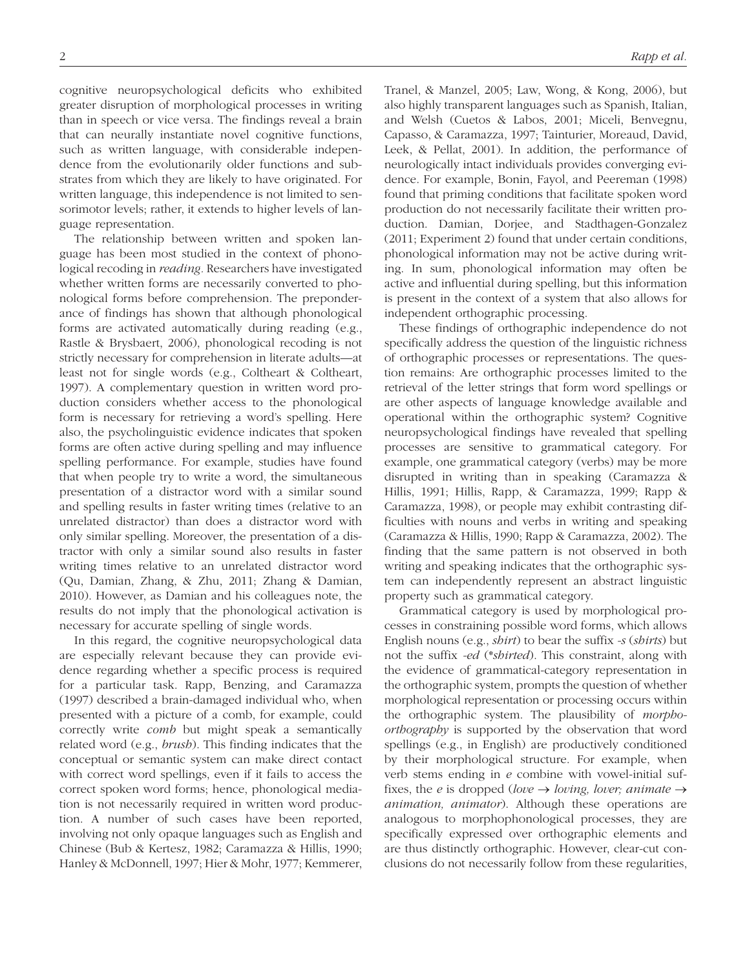cognitive neuropsychological deficits who exhibited greater disruption of morphological processes in writing than in speech or vice versa. The findings reveal a brain that can neurally instantiate novel cognitive functions, such as written language, with considerable independence from the evolutionarily older functions and substrates from which they are likely to have originated. For written language, this independence is not limited to sensorimotor levels; rather, it extends to higher levels of language representation.

The relationship between written and spoken language has been most studied in the context of phonological recoding in *reading.* Researchers have investigated whether written forms are necessarily converted to phonological forms before comprehension. The preponderance of findings has shown that although phonological forms are activated automatically during reading (e.g., Rastle & Brysbaert, 2006), phonological recoding is not strictly necessary for comprehension in literate adults—at least not for single words (e.g., Coltheart & Coltheart, 1997). A complementary question in written word production considers whether access to the phonological form is necessary for retrieving a word's spelling. Here also, the psycholinguistic evidence indicates that spoken forms are often active during spelling and may influence spelling performance. For example, studies have found that when people try to write a word, the simultaneous presentation of a distractor word with a similar sound and spelling results in faster writing times (relative to an unrelated distractor) than does a distractor word with only similar spelling. Moreover, the presentation of a distractor with only a similar sound also results in faster writing times relative to an unrelated distractor word (Qu, Damian, Zhang, & Zhu, 2011; Zhang & Damian, 2010). However, as Damian and his colleagues note, the results do not imply that the phonological activation is necessary for accurate spelling of single words.

In this regard, the cognitive neuropsychological data are especially relevant because they can provide evidence regarding whether a specific process is required for a particular task. Rapp, Benzing, and Caramazza (1997) described a brain-damaged individual who, when presented with a picture of a comb, for example, could correctly write *comb* but might speak a semantically related word (e.g., *brush*). This finding indicates that the conceptual or semantic system can make direct contact with correct word spellings, even if it fails to access the correct spoken word forms; hence, phonological mediation is not necessarily required in written word production. A number of such cases have been reported, involving not only opaque languages such as English and Chinese (Bub & Kertesz, 1982; Caramazza & Hillis, 1990; Hanley & McDonnell, 1997; Hier & Mohr, 1977; Kemmerer, Tranel, & Manzel, 2005; Law, Wong, & Kong, 2006), but also highly transparent languages such as Spanish, Italian, and Welsh (Cuetos & Labos, 2001; Miceli, Benvegnu, Capasso, & Caramazza, 1997; Tainturier, Moreaud, David, Leek, & Pellat, 2001). In addition, the performance of neurologically intact individuals provides converging evidence. For example, Bonin, Fayol, and Peereman (1998) found that priming conditions that facilitate spoken word production do not necessarily facilitate their written production. Damian, Dorjee, and Stadthagen-Gonzalez (2011; Experiment 2) found that under certain conditions, phonological information may not be active during writing. In sum, phonological information may often be active and influential during spelling, but this information is present in the context of a system that also allows for independent orthographic processing.

These findings of orthographic independence do not specifically address the question of the linguistic richness of orthographic processes or representations. The question remains: Are orthographic processes limited to the retrieval of the letter strings that form word spellings or are other aspects of language knowledge available and operational within the orthographic system? Cognitive neuropsychological findings have revealed that spelling processes are sensitive to grammatical category. For example, one grammatical category (verbs) may be more disrupted in writing than in speaking (Caramazza & Hillis, 1991; Hillis, Rapp, & Caramazza, 1999; Rapp & Caramazza, 1998), or people may exhibit contrasting difficulties with nouns and verbs in writing and speaking (Caramazza & Hillis, 1990; Rapp & Caramazza, 2002). The finding that the same pattern is not observed in both writing and speaking indicates that the orthographic system can independently represent an abstract linguistic property such as grammatical category.

Grammatical category is used by morphological processes in constraining possible word forms, which allows English nouns (e.g., *shirt*) to bear the suffix *-s* (*shirts*) but not the suffix *-ed* (\**shirted*). This constraint, along with the evidence of grammatical-category representation in the orthographic system, prompts the question of whether morphological representation or processing occurs within the orthographic system. The plausibility of *morphoorthography* is supported by the observation that word spellings (e.g., in English) are productively conditioned by their morphological structure. For example, when verb stems ending in *e* combine with vowel-initial suffixes, the *e* is dropped (*love*  $\rightarrow$  *loving, lover; animate*  $\rightarrow$ *animation, animator*). Although these operations are analogous to morphophonological processes, they are specifically expressed over orthographic elements and are thus distinctly orthographic. However, clear-cut conclusions do not necessarily follow from these regularities,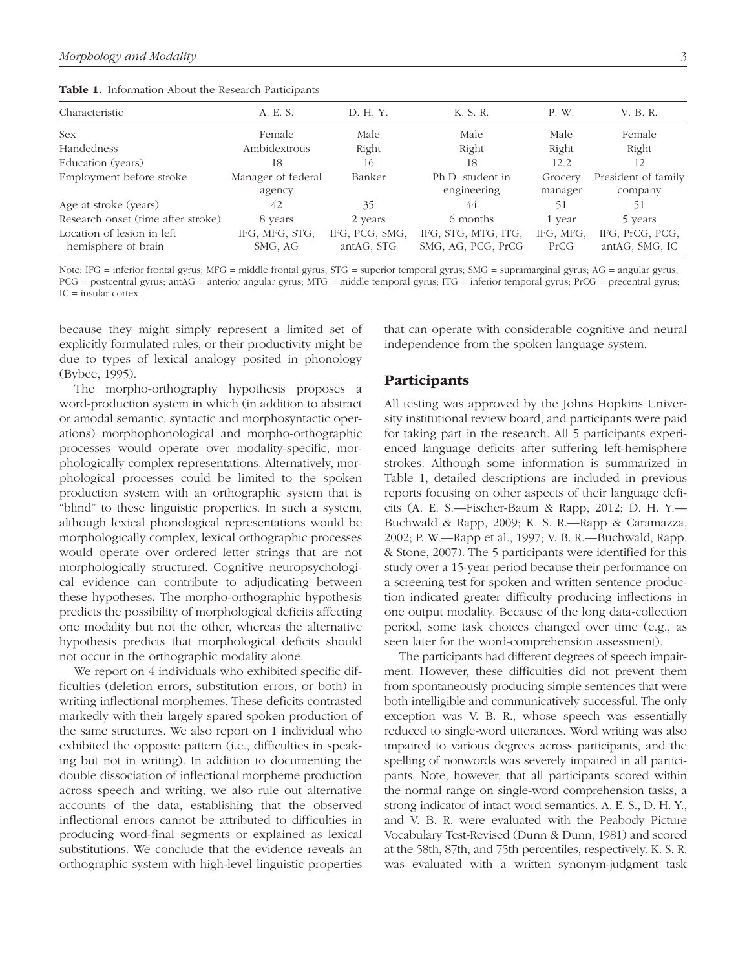|  |  |  |  | <b>Table 1.</b> Information About the Research Participants |
|--|--|--|--|-------------------------------------------------------------|
|--|--|--|--|-------------------------------------------------------------|

| Characteristic                                    | A. E. S.                  | D. H. Y.                     | K. S. R.                                  | P. W.             | V. B. R.                          |
|---------------------------------------------------|---------------------------|------------------------------|-------------------------------------------|-------------------|-----------------------------------|
| Sex                                               | Female                    | Male                         | Male                                      | Male              | Female                            |
| Handedness                                        | Ambidextrous              | Right                        | Right                                     | Right             | Right                             |
| Education (years)                                 | 18                        | 16                           | 18                                        | 12.2              | 12                                |
| Employment before stroke                          | Manager of federal        | Banker                       | Ph.D. student in                          | Grocery           | President of family               |
|                                                   | agency                    |                              | engineering                               | manager           | company                           |
| Age at stroke (years)                             | 42                        | 35                           | 44                                        | 51                | 51                                |
| Research onset (time after stroke)                | 8 years                   | 2 years                      | 6 months                                  | 1 year            | 5 years                           |
| Location of lesion in left<br>hemisphere of brain | IFG, MFG, STG,<br>SMG, AG | IFG, PCG, SMG,<br>antAG, STG | IFG, STG, MTG, ITG,<br>SMG, AG, PCG, PrCG | IFG, MFG,<br>PrCG | IFG, PrCG, PCG,<br>antAG, SMG, IC |

Note: IFG = inferior frontal gyrus; MFG = middle frontal gyrus; STG = superior temporal gyrus; SMG = supramarginal gyrus; AG = angular gyrus; PCG = postcentral gyrus; antAG = anterior angular gyrus; MTG = middle temporal gyrus; ITG = inferior temporal gyrus; PrCG = precentral gyrus; IC = insular cortex.

because they might simply represent a limited set of explicitly formulated rules, or their productivity might be due to types of lexical analogy posited in phonology (Bybee, 1995).

The morpho-orthography hypothesis proposes a word-production system in which (in addition to abstract or amodal semantic, syntactic and morphosyntactic operations) morphophonological and morpho-orthographic processes would operate over modality-specific, morphologically complex representations. Alternatively, morphological processes could be limited to the spoken production system with an orthographic system that is "blind" to these linguistic properties. In such a system, although lexical phonological representations would be morphologically complex, lexical orthographic processes would operate over ordered letter strings that are not morphologically structured. Cognitive neuropsychological evidence can contribute to adjudicating between these hypotheses. The morpho-orthographic hypothesis predicts the possibility of morphological deficits affecting one modality but not the other, whereas the alternative hypothesis predicts that morphological deficits should not occur in the orthographic modality alone.

We report on 4 individuals who exhibited specific difficulties (deletion errors, substitution errors, or both) in writing inflectional morphemes. These deficits contrasted markedly with their largely spared spoken production of the same structures. We also report on 1 individual who exhibited the opposite pattern (i.e., difficulties in speaking but not in writing). In addition to documenting the double dissociation of inflectional morpheme production across speech and writing, we also rule out alternative accounts of the data, establishing that the observed inflectional errors cannot be attributed to difficulties in producing word-final segments or explained as lexical substitutions. We conclude that the evidence reveals an orthographic system with high-level linguistic properties that can operate with considerable cognitive and neural independence from the spoken language system.

## Participants

All testing was approved by the Johns Hopkins University institutional review board, and participants were paid for taking part in the research. All 5 participants experienced language deficits after suffering left-hemisphere strokes. Although some information is summarized in Table 1, detailed descriptions are included in previous reports focusing on other aspects of their language deficits (A. E. S.—Fischer-Baum & Rapp, 2012; D. H. Y.— Buchwald & Rapp, 2009; K. S. R.—Rapp & Caramazza, 2002; P. W.—Rapp et al., 1997; V. B. R.—Buchwald, Rapp, & Stone, 2007). The 5 participants were identified for this study over a 15-year period because their performance on a screening test for spoken and written sentence production indicated greater difficulty producing inflections in one output modality. Because of the long data-collection period, some task choices changed over time (e.g., as seen later for the word-comprehension assessment).

The participants had different degrees of speech impairment. However, these difficulties did not prevent them from spontaneously producing simple sentences that were both intelligible and communicatively successful. The only exception was V. B. R., whose speech was essentially reduced to single-word utterances. Word writing was also impaired to various degrees across participants, and the spelling of nonwords was severely impaired in all participants. Note, however, that all participants scored within the normal range on single-word comprehension tasks, a strong indicator of intact word semantics. A. E. S., D. H. Y., and V. B. R. were evaluated with the Peabody Picture Vocabulary Test-Revised (Dunn & Dunn, 1981) and scored at the 58th, 87th, and 75th percentiles, respectively. K. S. R. was evaluated with a written synonym-judgment task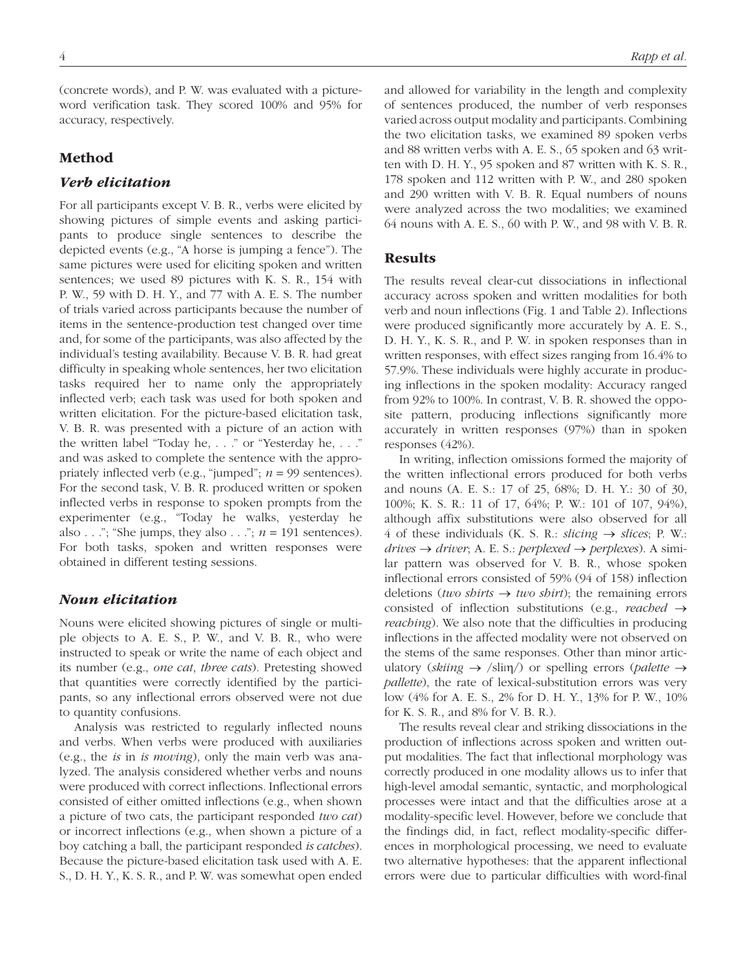(concrete words), and P. W. was evaluated with a pictureword verification task. They scored 100% and 95% for accuracy, respectively.

## Method

## *Verb elicitation*

For all participants except V. B. R., verbs were elicited by showing pictures of simple events and asking participants to produce single sentences to describe the depicted events (e.g., "A horse is jumping a fence"). The same pictures were used for eliciting spoken and written sentences; we used 89 pictures with K. S. R., 154 with P. W., 59 with D. H. Y., and 77 with A. E. S. The number of trials varied across participants because the number of items in the sentence-production test changed over time and, for some of the participants, was also affected by the individual's testing availability. Because V. B. R. had great difficulty in speaking whole sentences, her two elicitation tasks required her to name only the appropriately inflected verb; each task was used for both spoken and written elicitation. For the picture-based elicitation task, V. B. R. was presented with a picture of an action with the written label "Today he, . . ." or "Yesterday he, . . ." and was asked to complete the sentence with the appropriately inflected verb (e.g., "jumped"; *n* = 99 sentences). For the second task, V. B. R. produced written or spoken inflected verbs in response to spoken prompts from the experimenter (e.g., "Today he walks, yesterday he also . . ."; "She jumps, they also . . .";  $n = 191$  sentences). For both tasks, spoken and written responses were obtained in different testing sessions.

## *Noun elicitation*

Nouns were elicited showing pictures of single or multiple objects to A. E. S., P. W., and V. B. R., who were instructed to speak or write the name of each object and its number (e.g., *one cat*, *three cats*). Pretesting showed that quantities were correctly identified by the participants, so any inflectional errors observed were not due to quantity confusions.

Analysis was restricted to regularly inflected nouns and verbs. When verbs were produced with auxiliaries (e.g., the *is* in *is moving*), only the main verb was analyzed. The analysis considered whether verbs and nouns were produced with correct inflections. Inflectional errors consisted of either omitted inflections (e.g., when shown a picture of two cats, the participant responded *two cat*) or incorrect inflections (e.g., when shown a picture of a boy catching a ball, the participant responded *is catches*). Because the picture-based elicitation task used with A. E. S., D. H. Y., K. S. R., and P. W. was somewhat open ended and allowed for variability in the length and complexity of sentences produced, the number of verb responses varied across output modality and participants. Combining the two elicitation tasks, we examined 89 spoken verbs and 88 written verbs with A. E. S., 65 spoken and 63 written with D. H. Y., 95 spoken and 87 written with K. S. R., 178 spoken and 112 written with P. W., and 280 spoken and 290 written with V. B. R. Equal numbers of nouns were analyzed across the two modalities; we examined 64 nouns with A. E. S., 60 with P. W., and 98 with V. B. R.

## Results

The results reveal clear-cut dissociations in inflectional accuracy across spoken and written modalities for both verb and noun inflections (Fig. 1 and Table 2). Inflections were produced significantly more accurately by A. E. S., D. H. Y., K. S. R., and P. W. in spoken responses than in written responses, with effect sizes ranging from 16.4% to 57.9%. These individuals were highly accurate in producing inflections in the spoken modality: Accuracy ranged from 92% to 100%. In contrast, V. B. R. showed the opposite pattern, producing inflections significantly more accurately in written responses (97%) than in spoken responses (42%).

In writing, inflection omissions formed the majority of the written inflectional errors produced for both verbs and nouns (A. E. S.: 17 of 25, 68%; D. H. Y.: 30 of 30, 100%; K. S. R.: 11 of 17, 64%; P. W.: 101 of 107, 94%), although affix substitutions were also observed for all 4 of these individuals (K. S. R.: *slicing* → *slices*; P. W.: *drives*  $\rightarrow$  *driver*; A. E. S.: *perplexed*  $\rightarrow$  *perplexes*). A similar pattern was observed for V. B. R., whose spoken inflectional errors consisted of 59% (94 of 158) inflection deletions (*two shirts*  $\rightarrow$  *two shirt*); the remaining errors consisted of inflection substitutions (e.g., *reached* → *reaching*). We also note that the difficulties in producing inflections in the affected modality were not observed on the stems of the same responses. Other than minor articulatory (*skiing*  $\rightarrow$  /slin $\gamma$ ) or spelling errors (*palette*  $\rightarrow$ *pallette*), the rate of lexical-substitution errors was very low (4% for A. E. S., 2% for D. H. Y., 13% for P. W., 10% for K. S. R., and 8% for V. B. R.).

The results reveal clear and striking dissociations in the production of inflections across spoken and written output modalities. The fact that inflectional morphology was correctly produced in one modality allows us to infer that high-level amodal semantic, syntactic, and morphological processes were intact and that the difficulties arose at a modality-specific level. However, before we conclude that the findings did, in fact, reflect modality-specific differences in morphological processing, we need to evaluate two alternative hypotheses: that the apparent inflectional errors were due to particular difficulties with word-final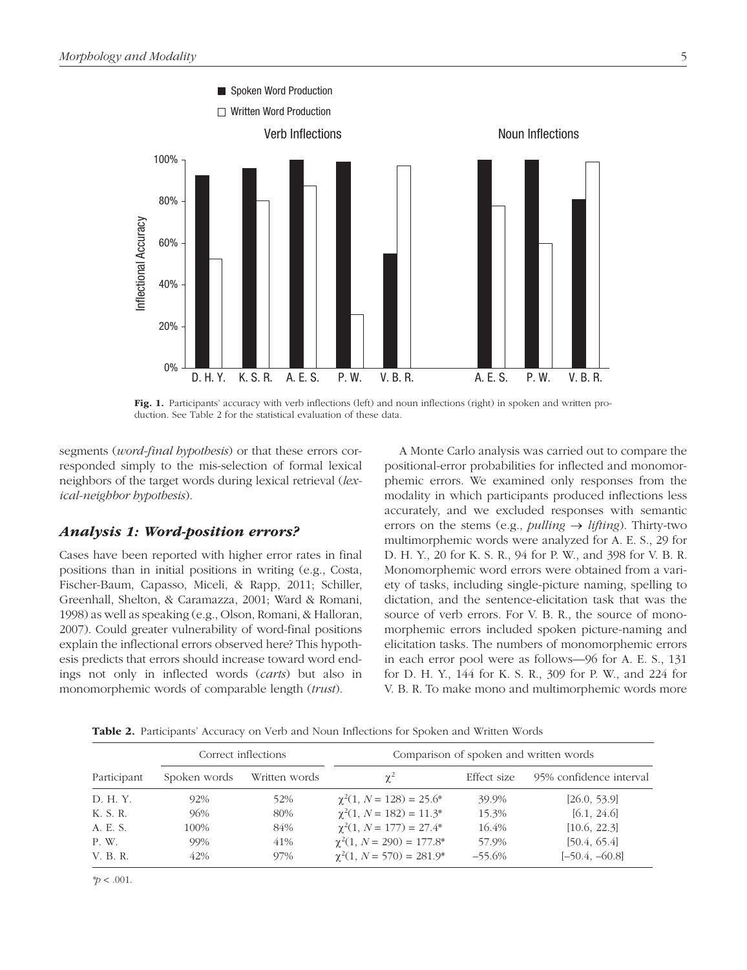

Fig. 1. Participants' accuracy with verb inflections (left) and noun inflections (right) in spoken and written production. See Table 2 for the statistical evaluation of these data.

segments (*word-final hypothesis*) or that these errors corresponded simply to the mis-selection of formal lexical neighbors of the target words during lexical retrieval (*lexical-neighbor hypothesis*).

## *Analysis 1: Word-position errors?*

Cases have been reported with higher error rates in final positions than in initial positions in writing (e.g., Costa, Fischer-Baum, Capasso, Miceli, & Rapp, 2011; Schiller, Greenhall, Shelton, & Caramazza, 2001; Ward & Romani, 1998) as well as speaking (e.g., Olson, Romani, & Halloran, 2007). Could greater vulnerability of word-final positions explain the inflectional errors observed here? This hypothesis predicts that errors should increase toward word endings not only in inflected words (*carts*) but also in monomorphemic words of comparable length (*trust*).

A Monte Carlo analysis was carried out to compare the positional-error probabilities for inflected and monomorphemic errors. We examined only responses from the modality in which participants produced inflections less accurately, and we excluded responses with semantic errors on the stems (e.g., *pulling*  $\rightarrow$  *lifting*). Thirty-two multimorphemic words were analyzed for A. E. S., 29 for D. H. Y., 20 for K. S. R., 94 for P. W., and 398 for V. B. R. Monomorphemic word errors were obtained from a variety of tasks, including single-picture naming, spelling to dictation, and the sentence-elicitation task that was the source of verb errors. For V. B. R., the source of monomorphemic errors included spoken picture-naming and elicitation tasks. The numbers of monomorphemic errors in each error pool were as follows—96 for A. E. S., 131 for D. H. Y., 144 for K. S. R., 309 for P. W., and 224 for V. B. R. To make mono and multimorphemic words more

Table 2. Participants' Accuracy on Verb and Noun Inflections for Spoken and Written Words

| Correct inflections |              |               | Comparison of spoken and written words |             |                         |  |
|---------------------|--------------|---------------|----------------------------------------|-------------|-------------------------|--|
| Participant         | Spoken words | Written words | $\gamma^2$                             | Effect size | 95% confidence interval |  |
| D. H. Y.            | 92%          | 52%           | $\chi^2(1, N = 128) = 25.6^*$          | 39.9%       | [26.0, 53.9]            |  |
| K. S. R.            | 96%          | 80%           | $\chi^2(1, N = 182) = 11.3^*$          | 15.3%       | [6.1, 24.6]             |  |
| A. E. S.            | 100%         | 84%           | $\chi^2(1, N = 177) = 27.4^*$          | 16.4%       | [10.6, 22.3]            |  |
| P.W.                | 99%          | 41%           | $\chi^2(1, N = 290) = 177.8^*$         | 57.9%       | [50.4, 65.4]            |  |
| V. B. R.            | 42%          | 97%           | $\chi^2(1, N = 570) = 281.9^*$         | $-55.6%$    | $[-50.4, -60.8]$        |  |

*\*p* < .001.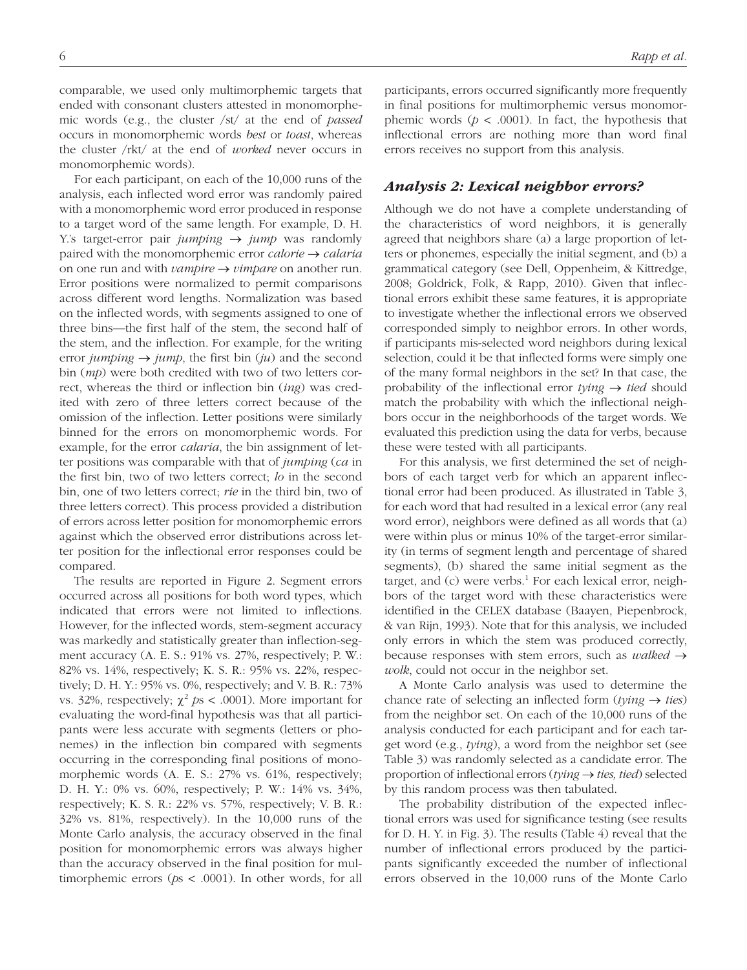comparable, we used only multimorphemic targets that ended with consonant clusters attested in monomorphemic words (e.g., the cluster /st/ at the end of *passed* occurs in monomorphemic words *best* or *toast*, whereas the cluster /rkt/ at the end of *worked* never occurs in monomorphemic words).

For each participant, on each of the 10,000 runs of the analysis, each inflected word error was randomly paired with a monomorphemic word error produced in response to a target word of the same length. For example, D. H. Y.'s target-error pair *jumping*  $\rightarrow$  *jump* was randomly paired with the monomorphemic error *calorie* → *calaria* on one run and with *vampire* → *vimpare* on another run. Error positions were normalized to permit comparisons across different word lengths. Normalization was based on the inflected words, with segments assigned to one of three bins—the first half of the stem, the second half of the stem, and the inflection. For example, for the writing error *jumping*  $\rightarrow$  *jump*, the first bin (*ju*) and the second bin (*mp*) were both credited with two of two letters correct, whereas the third or inflection bin (*ing*) was credited with zero of three letters correct because of the omission of the inflection. Letter positions were similarly binned for the errors on monomorphemic words. For example, for the error *calaria*, the bin assignment of letter positions was comparable with that of *jumping* (*ca* in the first bin, two of two letters correct; *lo* in the second bin, one of two letters correct; *rie* in the third bin, two of three letters correct). This process provided a distribution of errors across letter position for monomorphemic errors against which the observed error distributions across letter position for the inflectional error responses could be compared.

The results are reported in Figure 2. Segment errors occurred across all positions for both word types, which indicated that errors were not limited to inflections. However, for the inflected words, stem-segment accuracy was markedly and statistically greater than inflection-segment accuracy (A. E. S.: 91% vs. 27%, respectively; P. W.: 82% vs. 14%, respectively; K. S. R.: 95% vs. 22%, respectively; D. H. Y.: 95% vs. 0%, respectively; and V. B. R.: 73% vs. 32%, respectively;  $\chi^2$  *ps* < .0001). More important for evaluating the word-final hypothesis was that all participants were less accurate with segments (letters or phonemes) in the inflection bin compared with segments occurring in the corresponding final positions of monomorphemic words (A. E. S.: 27% vs. 61%, respectively; D. H. Y.: 0% vs. 60%, respectively; P. W.: 14% vs. 34%, respectively; K. S. R.: 22% vs. 57%, respectively; V. B. R.: 32% vs. 81%, respectively). In the 10,000 runs of the Monte Carlo analysis, the accuracy observed in the final position for monomorphemic errors was always higher than the accuracy observed in the final position for multimorphemic errors (*p*s < .0001). In other words, for all participants, errors occurred significantly more frequently in final positions for multimorphemic versus monomorphemic words ( $p < .0001$ ). In fact, the hypothesis that inflectional errors are nothing more than word final errors receives no support from this analysis.

## *Analysis 2: Lexical neighbor errors?*

Although we do not have a complete understanding of the characteristics of word neighbors, it is generally agreed that neighbors share (a) a large proportion of letters or phonemes, especially the initial segment, and (b) a grammatical category (see Dell, Oppenheim, & Kittredge, 2008; Goldrick, Folk, & Rapp, 2010). Given that inflectional errors exhibit these same features, it is appropriate to investigate whether the inflectional errors we observed corresponded simply to neighbor errors. In other words, if participants mis-selected word neighbors during lexical selection, could it be that inflected forms were simply one of the many formal neighbors in the set? In that case, the probability of the inflectional error  $t \nleftrightarrow t \neq d$  should match the probability with which the inflectional neighbors occur in the neighborhoods of the target words. We evaluated this prediction using the data for verbs, because these were tested with all participants.

For this analysis, we first determined the set of neighbors of each target verb for which an apparent inflectional error had been produced. As illustrated in Table 3, for each word that had resulted in a lexical error (any real word error), neighbors were defined as all words that (a) were within plus or minus 10% of the target-error similarity (in terms of segment length and percentage of shared segments), (b) shared the same initial segment as the target, and (c) were verbs.<sup>1</sup> For each lexical error, neighbors of the target word with these characteristics were identified in the CELEX database (Baayen, Piepenbrock, & van Rijn, 1993). Note that for this analysis, we included only errors in which the stem was produced correctly, because responses with stem errors, such as *walked* → *wolk*, could not occur in the neighbor set.

A Monte Carlo analysis was used to determine the chance rate of selecting an inflected form  $(t \gamma \dot{m} g \rightarrow t \dot{\iota} g g)$ from the neighbor set. On each of the 10,000 runs of the analysis conducted for each participant and for each target word (e.g., *tying*), a word from the neighbor set (see Table 3) was randomly selected as a candidate error. The proportion of inflectional errors (*tying* → *ties, tied*) selected by this random process was then tabulated.

The probability distribution of the expected inflectional errors was used for significance testing (see results for D. H. Y. in Fig. 3). The results (Table 4) reveal that the number of inflectional errors produced by the participants significantly exceeded the number of inflectional errors observed in the 10,000 runs of the Monte Carlo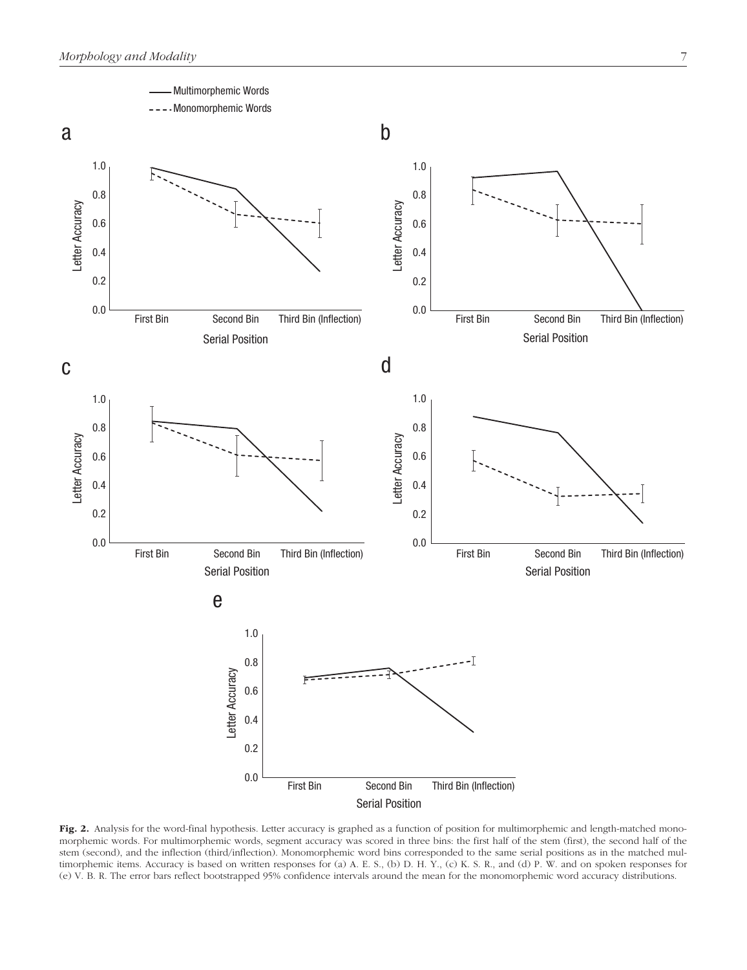

Fig. 2. Analysis for the word-final hypothesis. Letter accuracy is graphed as a function of position for multimorphemic and length-matched monomorphemic words. For multimorphemic words, segment accuracy was scored in three bins: the first half of the stem (first), the second half of the stem (second), and the inflection (third/inflection). Monomorphemic word bins corresponded to the same serial positions as in the matched multimorphemic items. Accuracy is based on written responses for (a) A. E. S., (b) D. H. Y., (c) K. S. R., and (d) P. W. and on spoken responses for (e) V. B. R. The error bars reflect bootstrapped 95% confidence intervals around the mean for the monomorphemic word accuracy distributions.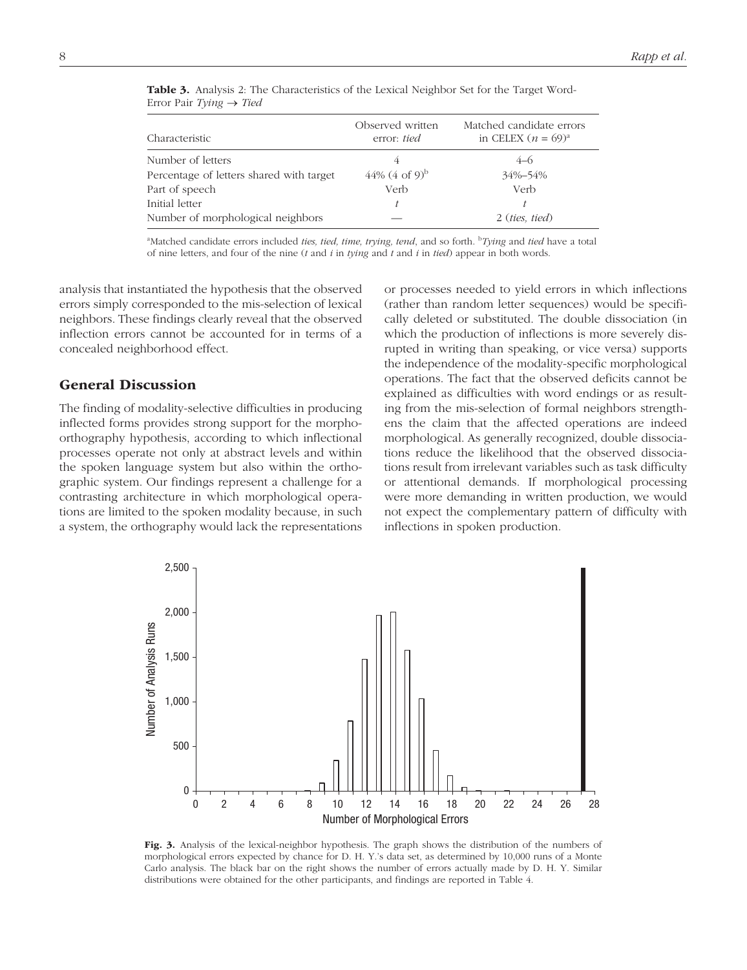| Characteristic                           | Observed written<br>error: <i>tied</i> | Matched candidate errors<br>in CELEX $(n = 69)^a$ |
|------------------------------------------|----------------------------------------|---------------------------------------------------|
| Number of letters                        |                                        | $4 - 6$                                           |
| Percentage of letters shared with target | $44\% (4 \text{ of } 9)^b$             | 34%-54%                                           |
| Part of speech                           | Verb                                   | Verb                                              |
| Initial letter                           |                                        |                                                   |
| Number of morphological neighbors        |                                        | $2$ (ties, tied)                                  |

**Table 3.** Analysis 2: The Characteristics of the Lexical Neighbor Set for the Target Word-Error Pair *Tying* → *Tied*

a Matched candidate errors included *ties, tied, time, trying, tend*, and so forth. b*Tying* and *tied* have a total of nine letters, and four of the nine (*t* and *i* in *tying* and *t* and *i* in *tied*) appear in both words.

analysis that instantiated the hypothesis that the observed errors simply corresponded to the mis-selection of lexical neighbors. These findings clearly reveal that the observed inflection errors cannot be accounted for in terms of a concealed neighborhood effect.

## General Discussion

The finding of modality-selective difficulties in producing inflected forms provides strong support for the morphoorthography hypothesis, according to which inflectional processes operate not only at abstract levels and within the spoken language system but also within the orthographic system. Our findings represent a challenge for a contrasting architecture in which morphological operations are limited to the spoken modality because, in such a system, the orthography would lack the representations or processes needed to yield errors in which inflections (rather than random letter sequences) would be specifically deleted or substituted. The double dissociation (in which the production of inflections is more severely disrupted in writing than speaking, or vice versa) supports the independence of the modality-specific morphological operations. The fact that the observed deficits cannot be explained as difficulties with word endings or as resulting from the mis-selection of formal neighbors strengthens the claim that the affected operations are indeed morphological. As generally recognized, double dissociations reduce the likelihood that the observed dissociations result from irrelevant variables such as task difficulty or attentional demands. If morphological processing were more demanding in written production, we would not expect the complementary pattern of difficulty with inflections in spoken production.



Fig. 3. Analysis of the lexical-neighbor hypothesis. The graph shows the distribution of the numbers of morphological errors expected by chance for D. H. Y.'s data set, as determined by 10,000 runs of a Monte Carlo analysis. The black bar on the right shows the number of errors actually made by D. H. Y. Similar distributions were obtained for the other participants, and findings are reported in Table 4.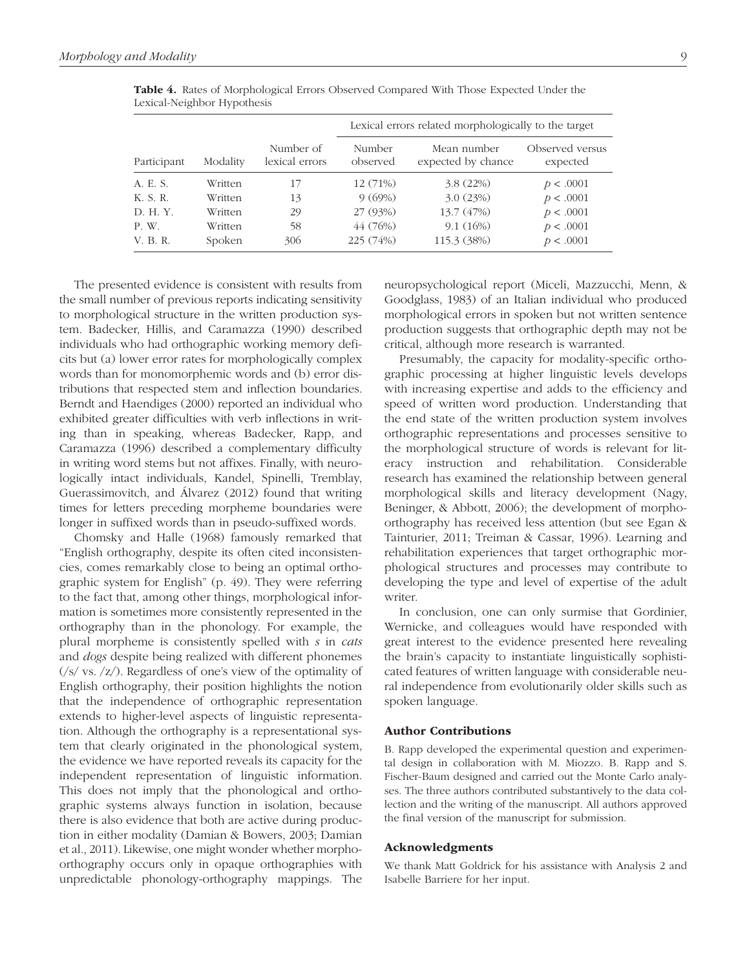|             |          |                             | Lexical errors related morphologically to the target |                                   |                             |  |
|-------------|----------|-----------------------------|------------------------------------------------------|-----------------------------------|-----------------------------|--|
| Participant | Modality | Number of<br>lexical errors | Number<br>observed                                   | Mean number<br>expected by chance | Observed versus<br>expected |  |
| A. E. S.    | Written  | 17                          | 12 (71%)                                             | 3.8(22%)                          | p < .0001                   |  |
| K. S. R.    | Written  | 13                          | 9(69%)                                               | 3.0(23%)                          | p < .0001                   |  |
| D. H. Y.    | Written  | 29                          | 27 (93%)                                             | 13.7 (47%)                        | p < .0001                   |  |
| P. W.       | Written  | 58                          | 44 (76%)                                             | 9.1(16%)                          | p < .0001                   |  |
| V. B. R.    | Spoken   | 306                         | 225 (74%)                                            | 115.3 (38%)                       | p < .0001                   |  |

Table 4. Rates of Morphological Errors Observed Compared With Those Expected Under the Lexical-Neighbor Hypothesis

The presented evidence is consistent with results from the small number of previous reports indicating sensitivity to morphological structure in the written production system. Badecker, Hillis, and Caramazza (1990) described individuals who had orthographic working memory deficits but (a) lower error rates for morphologically complex words than for monomorphemic words and (b) error distributions that respected stem and inflection boundaries. Berndt and Haendiges (2000) reported an individual who exhibited greater difficulties with verb inflections in writing than in speaking, whereas Badecker, Rapp, and Caramazza (1996) described a complementary difficulty in writing word stems but not affixes. Finally, with neurologically intact individuals, Kandel, Spinelli, Tremblay, Guerassimovitch, and Álvarez (2012) found that writing times for letters preceding morpheme boundaries were longer in suffixed words than in pseudo-suffixed words.

Chomsky and Halle (1968) famously remarked that "English orthography, despite its often cited inconsistencies, comes remarkably close to being an optimal orthographic system for English" (p. 49). They were referring to the fact that, among other things, morphological information is sometimes more consistently represented in the orthography than in the phonology. For example, the plural morpheme is consistently spelled with *s* in *cats* and *dogs* despite being realized with different phonemes (/s/ vs. /z/). Regardless of one's view of the optimality of English orthography, their position highlights the notion that the independence of orthographic representation extends to higher-level aspects of linguistic representation. Although the orthography is a representational system that clearly originated in the phonological system, the evidence we have reported reveals its capacity for the independent representation of linguistic information. This does not imply that the phonological and orthographic systems always function in isolation, because there is also evidence that both are active during production in either modality (Damian & Bowers, 2003; Damian et al., 2011). Likewise, one might wonder whether morphoorthography occurs only in opaque orthographies with unpredictable phonology-orthography mappings. The neuropsychological report (Miceli, Mazzucchi, Menn, & Goodglass, 1983) of an Italian individual who produced morphological errors in spoken but not written sentence production suggests that orthographic depth may not be critical, although more research is warranted.

Presumably, the capacity for modality-specific orthographic processing at higher linguistic levels develops with increasing expertise and adds to the efficiency and speed of written word production. Understanding that the end state of the written production system involves orthographic representations and processes sensitive to the morphological structure of words is relevant for literacy instruction and rehabilitation. Considerable research has examined the relationship between general morphological skills and literacy development (Nagy, Beninger, & Abbott, 2006); the development of morphoorthography has received less attention (but see Egan & Tainturier, 2011; Treiman & Cassar, 1996). Learning and rehabilitation experiences that target orthographic morphological structures and processes may contribute to developing the type and level of expertise of the adult writer.

In conclusion, one can only surmise that Gordinier, Wernicke, and colleagues would have responded with great interest to the evidence presented here revealing the brain's capacity to instantiate linguistically sophisticated features of written language with considerable neural independence from evolutionarily older skills such as spoken language.

## Author Contributions

B. Rapp developed the experimental question and experimental design in collaboration with M. Miozzo. B. Rapp and S. Fischer-Baum designed and carried out the Monte Carlo analyses. The three authors contributed substantively to the data collection and the writing of the manuscript. All authors approved the final version of the manuscript for submission.

#### Acknowledgments

We thank Matt Goldrick for his assistance with Analysis 2 and Isabelle Barriere for her input.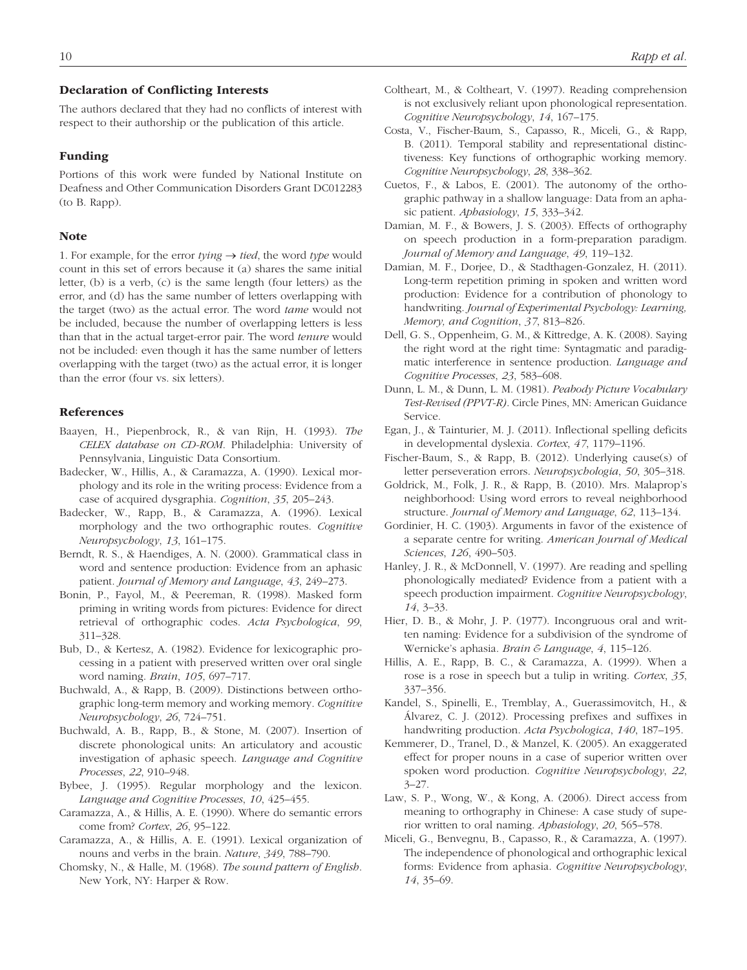#### Declaration of Conflicting Interests

The authors declared that they had no conflicts of interest with respect to their authorship or the publication of this article.

#### Funding

Portions of this work were funded by National Institute on Deafness and Other Communication Disorders Grant DC012283 (to B. Rapp).

## Note

1. For example, for the error *tying*  $\rightarrow$  *tied*, the word *type* would count in this set of errors because it (a) shares the same initial letter, (b) is a verb, (c) is the same length (four letters) as the error, and (d) has the same number of letters overlapping with the target (two) as the actual error. The word *tame* would not be included, because the number of overlapping letters is less than that in the actual target-error pair. The word *tenure* would not be included: even though it has the same number of letters overlapping with the target (two) as the actual error, it is longer than the error (four vs. six letters).

### References

- Baayen, H., Piepenbrock, R., & van Rijn, H. (1993). *The CELEX database on CD-ROM*. Philadelphia: University of Pennsylvania, Linguistic Data Consortium.
- Badecker, W., Hillis, A., & Caramazza, A. (1990). Lexical morphology and its role in the writing process: Evidence from a case of acquired dysgraphia. *Cognition*, *35*, 205–243.
- Badecker, W., Rapp, B., & Caramazza, A. (1996). Lexical morphology and the two orthographic routes. *Cognitive Neuropsychology*, *13*, 161–175.
- Berndt, R. S., & Haendiges, A. N. (2000). Grammatical class in word and sentence production: Evidence from an aphasic patient. *Journal of Memory and Language*, *43*, 249–273.
- Bonin, P., Fayol, M., & Peereman, R. (1998). Masked form priming in writing words from pictures: Evidence for direct retrieval of orthographic codes. *Acta Psychologica*, *99*, 311–328.
- Bub, D., & Kertesz, A. (1982). Evidence for lexicographic processing in a patient with preserved written over oral single word naming. *Brain*, *105*, 697–717.
- Buchwald, A., & Rapp, B. (2009). Distinctions between orthographic long-term memory and working memory. *Cognitive Neuropsychology*, *26*, 724–751.
- Buchwald, A. B., Rapp, B., & Stone, M. (2007). Insertion of discrete phonological units: An articulatory and acoustic investigation of aphasic speech. *Language and Cognitive Processes*, *22*, 910–948.
- Bybee, J. (1995). Regular morphology and the lexicon. *Language and Cognitive Processes*, *10*, 425–455.
- Caramazza, A., & Hillis, A. E. (1990). Where do semantic errors come from? *Cortex*, *26*, 95–122.
- Caramazza, A., & Hillis, A. E. (1991). Lexical organization of nouns and verbs in the brain. *Nature*, *349*, 788–790.
- Chomsky, N., & Halle, M. (1968). *The sound pattern of English*. New York, NY: Harper & Row.
- Coltheart, M., & Coltheart, V. (1997). Reading comprehension is not exclusively reliant upon phonological representation. *Cognitive Neuropsychology*, *14*, 167–175.
- Costa, V., Fischer-Baum, S., Capasso, R., Miceli, G., & Rapp, B. (2011). Temporal stability and representational distinctiveness: Key functions of orthographic working memory. *Cognitive Neuropsychology*, *28*, 338–362.
- Cuetos, F., & Labos, E. (2001). The autonomy of the orthographic pathway in a shallow language: Data from an aphasic patient. *Aphasiology*, *15*, 333–342.
- Damian, M. F., & Bowers, J. S. (2003). Effects of orthography on speech production in a form-preparation paradigm. *Journal of Memory and Language*, *49*, 119–132.
- Damian, M. F., Dorjee, D., & Stadthagen-Gonzalez, H. (2011). Long-term repetition priming in spoken and written word production: Evidence for a contribution of phonology to handwriting. *Journal of Experimental Psychology: Learning, Memory, and Cognition*, *37*, 813–826.
- Dell, G. S., Oppenheim, G. M., & Kittredge, A. K. (2008). Saying the right word at the right time: Syntagmatic and paradigmatic interference in sentence production. *Language and Cognitive Processes*, *23*, 583–608.
- Dunn, L. M., & Dunn, L. M. (1981). *Peabody Picture Vocabulary Test-Revised (PPVT-R)*. Circle Pines, MN: American Guidance Service.
- Egan, J., & Tainturier, M. J. (2011). Inflectional spelling deficits in developmental dyslexia. *Cortex*, *47*, 1179–1196.
- Fischer-Baum, S., & Rapp, B. (2012). Underlying cause(s) of letter perseveration errors. *Neuropsychologia*, *50*, 305–318.
- Goldrick, M., Folk, J. R., & Rapp, B. (2010). Mrs. Malaprop's neighborhood: Using word errors to reveal neighborhood structure. *Journal of Memory and Language*, *62*, 113–134.
- Gordinier, H. C. (1903). Arguments in favor of the existence of a separate centre for writing. *American Journal of Medical Sciences*, *126*, 490–503.
- Hanley, J. R., & McDonnell, V. (1997). Are reading and spelling phonologically mediated? Evidence from a patient with a speech production impairment. *Cognitive Neuropsychology*, *14*, 3–33.
- Hier, D. B., & Mohr, J. P. (1977). Incongruous oral and written naming: Evidence for a subdivision of the syndrome of Wernicke's aphasia. *Brain & Language*, *4*, 115–126.
- Hillis, A. E., Rapp, B. C., & Caramazza, A. (1999). When a rose is a rose in speech but a tulip in writing. *Cortex*, *35*, 337–356.
- Kandel, S., Spinelli, E., Tremblay, A., Guerassimovitch, H., & Álvarez, C. J. (2012). Processing prefixes and suffixes in handwriting production. *Acta Psychologica*, *140*, 187–195.
- Kemmerer, D., Tranel, D., & Manzel, K. (2005). An exaggerated effect for proper nouns in a case of superior written over spoken word production. *Cognitive Neuropsychology*, *22*,  $3 - 27$ .
- Law, S. P., Wong, W., & Kong, A. (2006). Direct access from meaning to orthography in Chinese: A case study of superior written to oral naming. *Aphasiology*, *20*, 565–578.
- Miceli, G., Benvegnu, B., Capasso, R., & Caramazza, A. (1997). The independence of phonological and orthographic lexical forms: Evidence from aphasia. *Cognitive Neuropsychology*, *14*, 35–69.